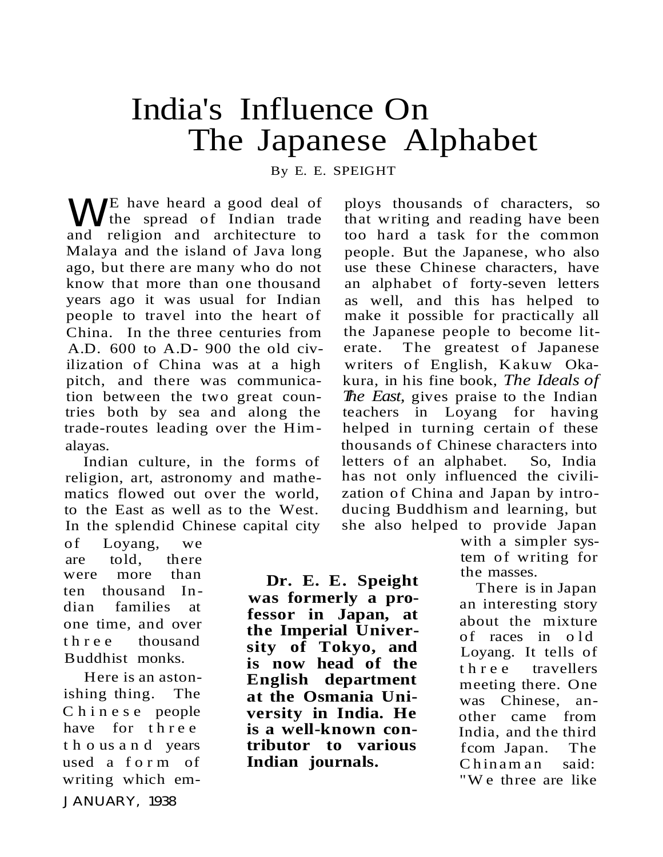## India's Influence On The Japanese Alphabet

By E. E. SPEIGHT

WE have heard a good deal of<br>
and religion and architecture to and religion and architecture to Malaya and the island of Java long ago, but there are many who do not know that more than one thousand years ago it was usual for Indian people to travel into the heart of China. In the three centuries from A.D. 600 to A.D- 900 the old civilization of China was at a high pitch, and there was communication between the two great countries both by sea and along the trade-routes leading over the Himalayas.

Indian culture, in the forms of religion, art, astronomy and mathematics flowed out over the world, to the East as well as to the West. In the splendid Chinese capital city

of Loyang, we are told, there were more than ten thousand Indian families at one time, and over th r e e thousand Buddhist monks.

Here is an astonishing thing. The Chinese people have for three t h o us a n d years used a form of writing which em-JANUARY, 1938

**Dr. E. E. Speight was formerly a professor in Japan, at the Imperial University of Tokyo, and is now head of the English department at the Osmania University in India. He is a well-known contributor to various Indian journals.**

ploys thousands of characters, so that writing and reading have been too hard a task for the common people. But the Japanese, who also use these Chinese characters, have an alphabet of forty-seven letters as well, and this has helped to make it possible for practically all the Japanese people to become literate. The greatest of Japanese writers of English, Kakuw Okakura, in his fine book, *The Ideals of The East,* gives praise to the Indian teachers in Loyang for having helped in turning certain of these thousands of Chinese characters into letters of an alphabet. So, India has not only influenced the civilization of China and Japan by introducing Buddhism and learning, but she also helped to provide Japan

with a simpler system of writing for the masses.

There is in Japan an interesting story about the mixture of races in old Loyang. It tells of t h r e e travellers meeting there. One was Chinese, another came from India, and the third fcom Japan. The Chinam an said: "W e three are like